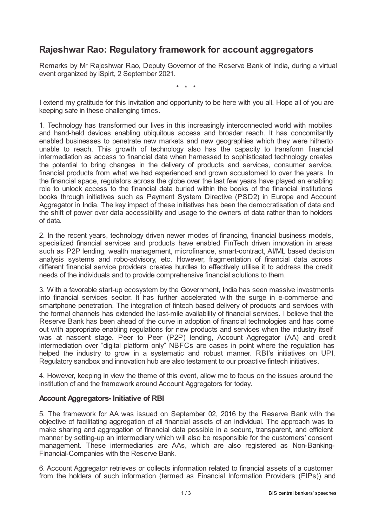# **Rajeshwar Rao: Regulatory framework for account aggregators**

Remarks by Mr Rajeshwar Rao, Deputy Governor of the Reserve Bank of India, during a virtual event organized by iSpirt, 2 September 2021.

\* \* \*

I extend my gratitude for this invitation and opportunity to be here with you all. Hope all of you are keeping safe in these challenging times.

1. Technology has transformed our lives in this increasingly interconnected world with mobiles and hand-held devices enabling ubiquitous access and broader reach. It has concomitantly enabled businesses to penetrate new markets and new geographies which they were hitherto unable to reach. This growth of technology also has the capacity to transform financial intermediation as access to financial data when harnessed to sophisticated technology creates the potential to bring changes in the delivery of products and services, consumer service, financial products from what we had experienced and grown accustomed to over the years. In the financial space, regulators across the globe over the last few years have played an enabling role to unlock access to the financial data buried within the books of the financial institutions books through initiatives such as Payment System Directive (PSD2) in Europe and Account Aggregator in India. The key impact of these initiatives has been the democratisation of data and the shift of power over data accessibility and usage to the owners of data rather than to holders of data.

2. In the recent years, technology driven newer modes of financing, financial business models, specialized financial services and products have enabled FinTech driven innovation in areas such as P2P lending, wealth management, microfinance, smart-contract, AI/ML based decision analysis systems and robo-advisory, etc. However, fragmentation of financial data across different financial service providers creates hurdles to effectively utilise it to address the credit needs of the individuals and to provide comprehensive financial solutions to them.

3. With a favorable start-up ecosystem by the Government, India has seen massive investments into financial services sector. It has further accelerated with the surge in e-commerce and smartphone penetration. The integration of fintech based delivery of products and services with the formal channels has extended the last-mile availability of financial services. I believe that the Reserve Bank has been ahead of the curve in adoption of financial technologies and has come out with appropriate enabling regulations for new products and services when the industry itself was at nascent stage. Peer to Peer (P2P) lending, Account Aggregator (AA) and credit intermediation over "digital platform only" NBFCs are cases in point where the regulation has helped the industry to grow in a systematic and robust manner. RBI's initiatives on UPI, Regulatory sandbox and innovation hub are also testament to our proactive fintech initiatives.

4. However, keeping in view the theme of this event, allow me to focus on the issues around the institution of and the framework around Account Aggregators for today.

### **Account Aggregators- Initiative of RBI**

5. The framework for AA was issued on September 02, 2016 by the Reserve Bank with the objective of facilitating aggregation of all financial assets of an individual. The approach was to make sharing and aggregation of financial data possible in a secure, transparent, and efficient manner by setting-up an intermediary which will also be responsible for the customers' consent management. These intermediaries are AAs, which are also registered as Non-Banking-Financial-Companies with the Reserve Bank.

6. Account Aggregator retrieves or collects information related to financial assets of a customer from the holders of such information (termed as Financial Information Providers (FIPs)) and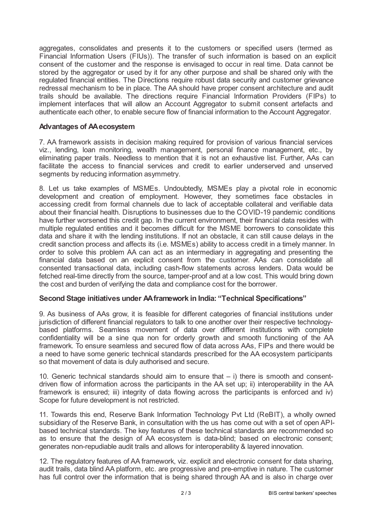aggregates, consolidates and presents it to the customers or specified users (termed as Financial Information Users (FIUs)). The transfer of such information is based on an explicit consent of the customer and the response is envisaged to occur in real time. Data cannot be stored by the aggregator or used by it for any other purpose and shall be shared only with the regulated financial entities. The Directions require robust data security and customer grievance redressal mechanism to be in place. The AA should have proper consent architecture and audit trails should be available. The directions require Financial Information Providers (FIPs) to implement interfaces that will allow an Account Aggregator to submit consent artefacts and authenticate each other, to enable secure flow of financial information to the Account Aggregator.

## **Advantages of AAecosystem**

7. AA framework assists in decision making required for provision of various financial services viz., lending, loan monitoring, wealth management, personal finance management, etc., by eliminating paper trails. Needless to mention that it is not an exhaustive list. Further, AAs can facilitate the access to financial services and credit to earlier underserved and unserved segments by reducing information asymmetry.

8. Let us take examples of MSMEs. Undoubtedly, MSMEs play a pivotal role in economic development and creation of employment. However, they sometimes face obstacles in accessing credit from formal channels due to lack of acceptable collateral and verifiable data about their financial health. Disruptions to businesses due to the COVID-19 pandemic conditions have further worsened this credit gap. In the current environment, their financial data resides with multiple regulated entities and it becomes difficult for the MSME borrowers to consolidate this data and share it with the lending institutions. If not an obstacle, it can still cause delays in the credit sanction process and affects its (i.e. MSMEs) ability to access credit in a timely manner. In order to solve this problem AA can act as an intermediary in aggregating and presenting the financial data based on an explicit consent from the customer. AAs can consolidate all consented transactional data, including cash-flow statements across lenders. Data would be fetched real-time directly from the source, tamper-proof and at a low cost. This would bring down the cost and burden of verifying the data and compliance cost for the borrower.

### **Second Stage initiatives under AAframework in India: "Technical Specifications"**

9. As business of AAs grow, it is feasible for different categories of financial institutions under jurisdiction of different financial regulators to talk to one another over their respective technologybased platforms. Seamless movement of data over different institutions with complete confidentiality will be a sine qua non for orderly growth and smooth functioning of the AA framework. To ensure seamless and secured flow of data across AAs, FIPs and there would be a need to have some generic technical standards prescribed for the AA ecosystem participants so that movement of data is duly authorised and secure.

10. Generic technical standards should aim to ensure that – i) there is smooth and consentdriven flow of information across the participants in the AA set up; ii) interoperability in the AA framework is ensured; iii) integrity of data flowing across the participants is enforced and iv) Scope for future development is not restricted.

11. Towards this end, Reserve Bank Information Technology Pvt Ltd (ReBIT), a wholly owned subsidiary of the Reserve Bank, in consultation with the us has come out with a set of open APIbased technical standards. The key features of these technical standards are recommended so as to ensure that the design of AA ecosystem is data-blind; based on electronic consent; generates non-repudiable audit trails and allows for interoperability & layered innovation.

12. The regulatory features of AA framework, viz. explicit and electronic consent for data sharing, audit trails, data blind AA platform, etc. are progressive and pre-emptive in nature. The customer has full control over the information that is being shared through AA and is also in charge over